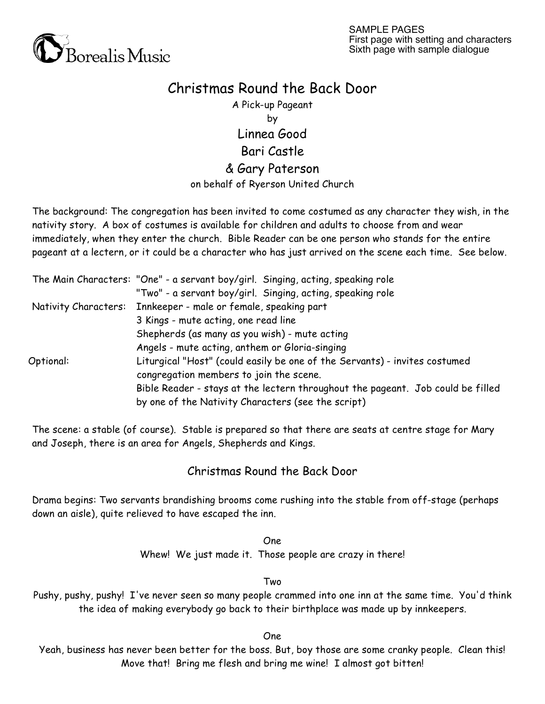

## Christmas Round the Back Door

A Pick-up Pageant by Linnea Good Bari Castle & Gary Paterson on behalf of Ryerson United Church

The background: The congregation has been invited to come costumed as any character they wish, in the nativity story. A box of costumes is available for children and adults to choose from and wear immediately, when they enter the church. Bible Reader can be one person who stands for the entire pageant at a lectern, or it could be a character who has just arrived on the scene each time. See below.

|                      | The Main Characters: "One" - a servant boy/girl. Singing, acting, speaking role |
|----------------------|---------------------------------------------------------------------------------|
|                      | "Two" - a servant boy/girl. Singing, acting, speaking role                      |
| Nativity Characters: | Innkeeper - male or female, speaking part                                       |
|                      | 3 Kings - mute acting, one read line                                            |
|                      | Shepherds (as many as you wish) - mute acting                                   |
|                      | Angels - mute acting, anthem or Gloria-singing                                  |
| Optional:            | Liturgical "Host" (could easily be one of the Servants) - invites costumed      |
|                      | congregation members to join the scene.                                         |
|                      | Bible Reader - stays at the lectern throughout the pageant. Job could be filled |
|                      | by one of the Nativity Characters (see the script)                              |

The scene: a stable (of course). Stable is prepared so that there are seats at centre stage for Mary and Joseph, there is an area for Angels, Shepherds and Kings.

## Christmas Round the Back Door

Drama begins: Two servants brandishing brooms come rushing into the stable from off-stage (perhaps down an aisle), quite relieved to have escaped the inn.

> One Whew! We just made it. Those people are crazy in there!

> > Two

Pushy, pushy, pushy! I've never seen so many people crammed into one inn at the same time. You'd think the idea of making everybody go back to their birthplace was made up by innkeepers.

One

Yeah, business has never been better for the boss. But, boy those are some cranky people. Clean this! Move that! Bring me flesh and bring me wine! I almost got bitten!